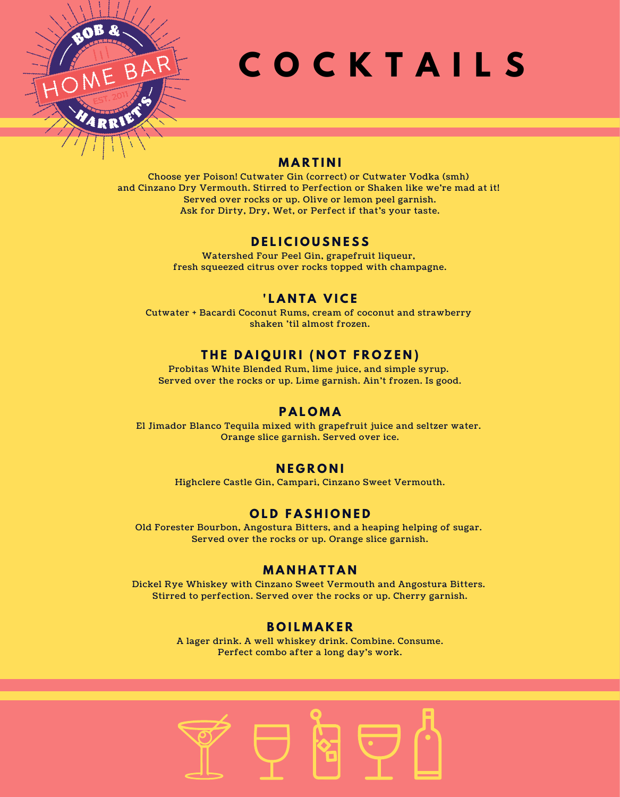

# **C O C K T A I L S**

## **M A R T I N I**

Choose yer Poison! Cutwater Gin (correct) or Cutwater Vodka (smh) and Cinzano Dry Vermouth. Stirred to Perfection or Shaken like we're mad at it! Served over rocks or up. Olive or lemon peel garnish. Ask for Dirty, Dry, Wet, or Perfect if that's your taste.

## **D E L I C I O U S N E S S**

Watershed Four Peel Gin, grapefruit liqueur, fresh squeezed citrus over rocks topped with champagne.

# **' L A N T A V I C E**

Cutwater + Bacardi Coconut Rums, cream of coconut and strawberry shaken 'til almost frozen.

## $THE$  DAIQUIRI (NOT FROZEN)

Probitas White Blended Rum, lime juice, and simple syrup. Served over the rocks or up. Lime garnish. Ain't frozen. Is good.

### **P A L O M A**

El Jimador Blanco Tequila mixed with grapefruit juice and seltzer water. Orange slice garnish. Served over ice.

### **N E G R O N I**

Highclere Castle Gin, Campari, Cinzano Sweet Vermouth.

### **O L D F A S H I O N E D**

Old Forester Bourbon, Angostura Bitters, and a heaping helping of sugar. Served over the rocks or up. Orange slice garnish.

## **M A N H A T T A N**

Dickel Rye Whiskey with Cinzano Sweet Vermouth and Angostura Bitters. Stirred to perfection. Served over the rocks or up. Cherry garnish.

### **B O I L M A K E R**

A lager drink. A well whiskey drink. Combine. Consume. Perfect combo after a long day's work.